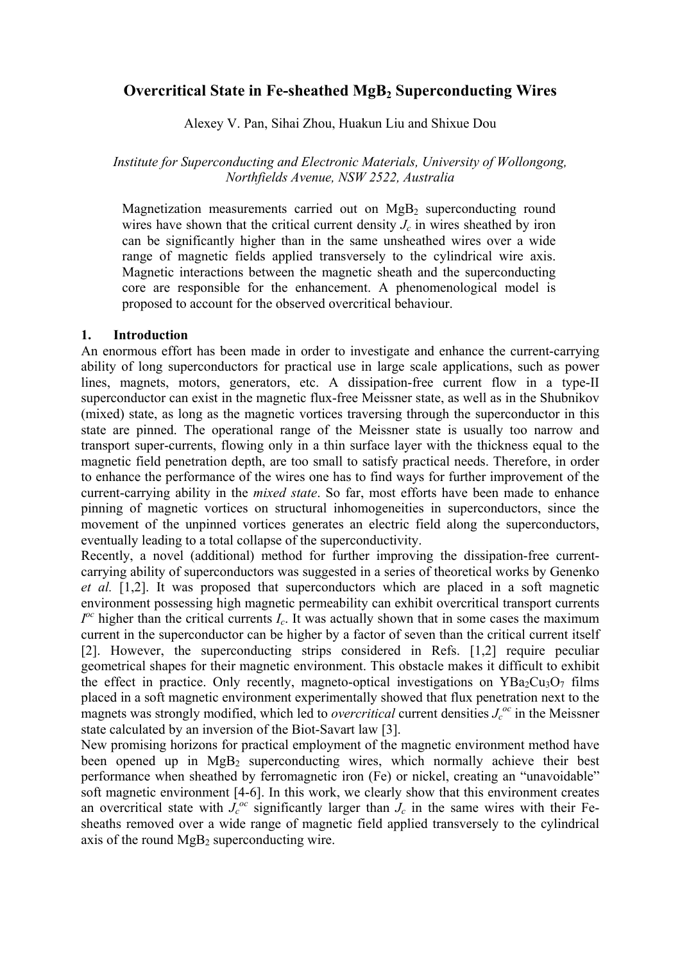# **Overcritical State in Fe-sheathed MgB<sub>2</sub> Superconducting Wires**

Alexey V. Pan, Sihai Zhou, Huakun Liu and Shixue Dou

*Institute for Superconducting and Electronic Materials, University of Wollongong, Northfields Avenue, NSW 2522, Australia* 

Magnetization measurements carried out on  $MgB<sub>2</sub>$  superconducting round wires have shown that the critical current density  $J_c$  in wires sheathed by iron can be significantly higher than in the same unsheathed wires over a wide range of magnetic fields applied transversely to the cylindrical wire axis. Magnetic interactions between the magnetic sheath and the superconducting core are responsible for the enhancement. A phenomenological model is proposed to account for the observed overcritical behaviour.

# **1. Introduction**

An enormous effort has been made in order to investigate and enhance the current-carrying ability of long superconductors for practical use in large scale applications, such as power lines, magnets, motors, generators, etc. A dissipation-free current flow in a type-II superconductor can exist in the magnetic flux-free Meissner state, as well as in the Shubnikov (mixed) state, as long as the magnetic vortices traversing through the superconductor in this state are pinned. The operational range of the Meissner state is usually too narrow and transport super-currents, flowing only in a thin surface layer with the thickness equal to the magnetic field penetration depth, are too small to satisfy practical needs. Therefore, in order to enhance the performance of the wires one has to find ways for further improvement of the current-carrying ability in the *mixed state*. So far, most efforts have been made to enhance pinning of magnetic vortices on structural inhomogeneities in superconductors, since the movement of the unpinned vortices generates an electric field along the superconductors, eventually leading to a total collapse of the superconductivity.

Recently, a novel (additional) method for further improving the dissipation-free currentcarrying ability of superconductors was suggested in a series of theoretical works by Genenko *et al.* [1,2]. It was proposed that superconductors which are placed in a soft magnetic environment possessing high magnetic permeability can exhibit overcritical transport currents  $I^{\circ c}$  higher than the critical currents  $I_c$ . It was actually shown that in some cases the maximum current in the superconductor can be higher by a factor of seven than the critical current itself [2]. However, the superconducting strips considered in Refs. [1,2] require peculiar geometrical shapes for their magnetic environment. This obstacle makes it difficult to exhibit the effect in practice. Only recently, magneto-optical investigations on  $YBa_2Cu_3O_7$  films placed in a soft magnetic environment experimentally showed that flux penetration next to the magnets was strongly modified, which led to *overcritical* current densities  $J_c^{o}$  in the Meissner state calculated by an inversion of the Biot-Savart law [3].

New promising horizons for practical employment of the magnetic environment method have been opened up in  $MgB_2$  superconducting wires, which normally achieve their best performance when sheathed by ferromagnetic iron (Fe) or nickel, creating an "unavoidable" soft magnetic environment [4-6]. In this work, we clearly show that this environment creates an overcritical state with  $J_c^{oc}$  significantly larger than  $J_c$  in the same wires with their Fesheaths removed over a wide range of magnetic field applied transversely to the cylindrical axis of the round  $MgB<sub>2</sub>$  superconducting wire.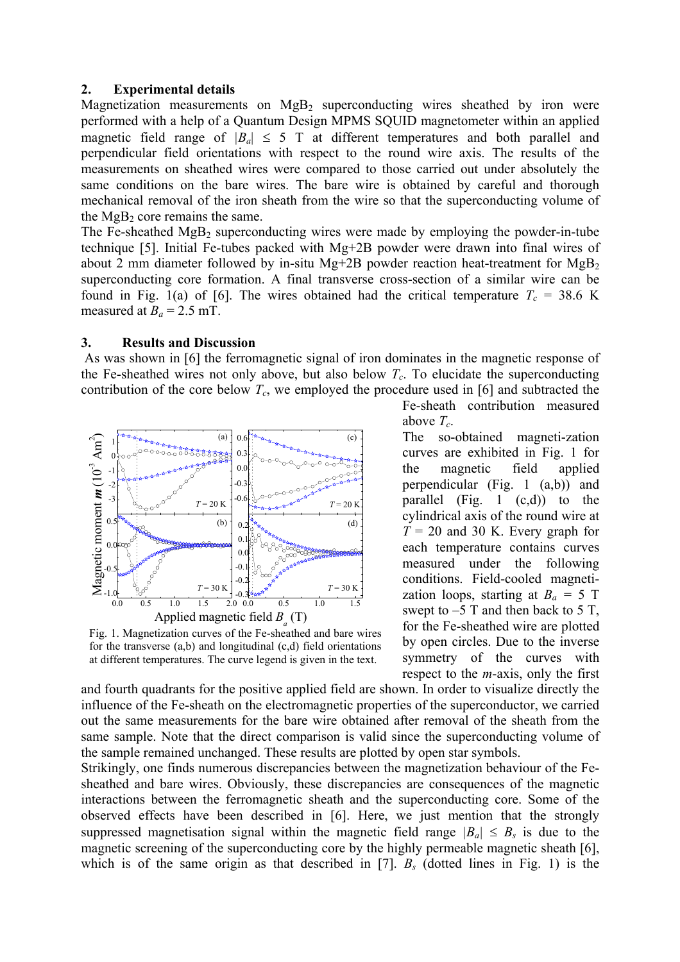### **2. Experimental details**

Magnetization measurements on  $MgB_2$  superconducting wires sheathed by iron were performed with a help of a Quantum Design MPMS SQUID magnetometer within an applied magnetic field range of  $|B_a| \leq 5$  T at different temperatures and both parallel and perpendicular field orientations with respect to the round wire axis. The results of the measurements on sheathed wires were compared to those carried out under absolutely the same conditions on the bare wires. The bare wire is obtained by careful and thorough mechanical removal of the iron sheath from the wire so that the superconducting volume of the  $MgB<sub>2</sub>$  core remains the same.

The Fe-sheathed  $MgB_2$  superconducting wires were made by employing the powder-in-tube technique [5]. Initial Fe-tubes packed with Mg+2B powder were drawn into final wires of about 2 mm diameter followed by in-situ Mg+2B powder reaction heat-treatment for  $Mg_{B_2}$ superconducting core formation. A final transverse cross-section of a similar wire can be found in Fig. 1(a) of [6]. The wires obtained had the critical temperature  $T_c = 38.6$  K measured at  $B_a = 2.5$  mT.

### **3. Results and Discussion**

As was shown in [6] the ferromagnetic signal of iron dominates in the magnetic response of the Fe-sheathed wires not only above, but also below  $T_c$ . To elucidate the superconducting contribution of the core below  $T_c$ , we employed the procedure used in [6] and subtracted the



Fig. 1. Magnetization curves of the Fe-sheathed and bare wires for the transverse (a,b) and longitudinal (c,d) field orientations at different temperatures. The curve legend is given in the text.

Fe-sheath contribution measured above *Tc*.

The so-obtained magneti-zation curves are exhibited in Fig. 1 for the magnetic field applied perpendicular (Fig. 1 (a,b)) and parallel  $(Fig. 1 (c,d))$  to the cylindrical axis of the round wire at  $T = 20$  and 30 K. Every graph for each temperature contains curves measured under the following conditions. Field-cooled magnetization loops, starting at  $B_a = 5$  T swept to  $-5$  T and then back to 5 T, for the Fe-sheathed wire are plotted by open circles. Due to the inverse symmetry of the curves with respect to the *m*-axis, only the first

and fourth quadrants for the positive applied field are shown. In order to visualize directly the influence of the Fe-sheath on the electromagnetic properties of the superconductor, we carried out the same measurements for the bare wire obtained after removal of the sheath from the same sample. Note that the direct comparison is valid since the superconducting volume of the sample remained unchanged. These results are plotted by open star symbols.

Strikingly, one finds numerous discrepancies between the magnetization behaviour of the Fesheathed and bare wires. Obviously, these discrepancies are consequences of the magnetic interactions between the ferromagnetic sheath and the superconducting core. Some of the observed effects have been described in [6]. Here, we just mention that the strongly suppressed magnetisation signal within the magnetic field range  $|B_{a}| \leq B_s$  is due to the magnetic screening of the superconducting core by the highly permeable magnetic sheath [6], which is of the same origin as that described in [7].  $B_s$  (dotted lines in Fig. 1) is the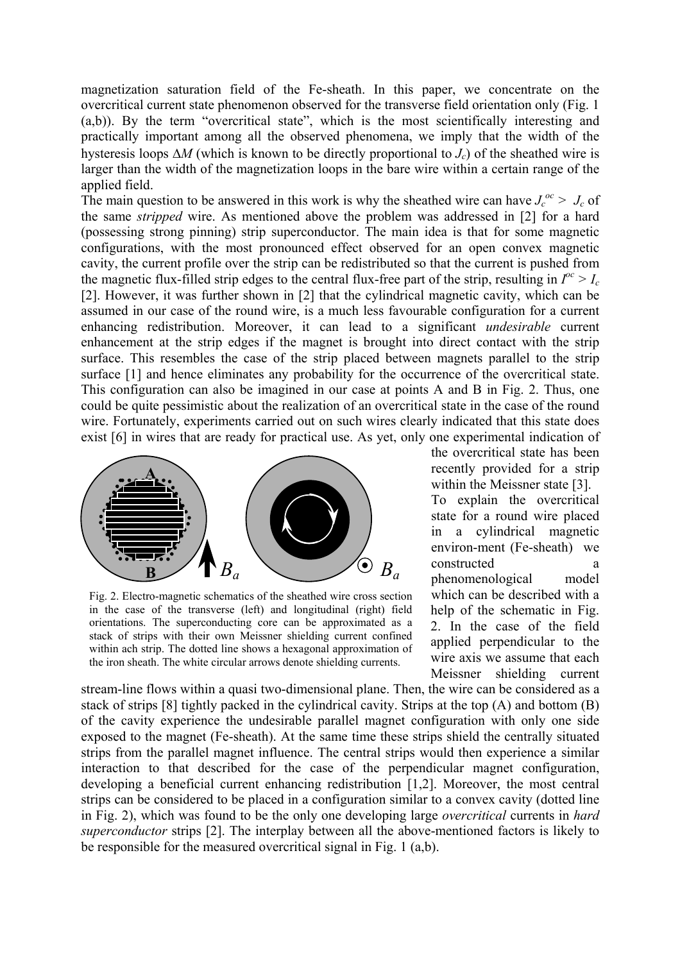magnetization saturation field of the Fe-sheath. In this paper, we concentrate on the overcritical current state phenomenon observed for the transverse field orientation only (Fig. 1 (a,b)). By the term "overcritical state", which is the most scientifically interesting and practically important among all the observed phenomena, we imply that the width of the hysteresis loops ∆*M* (which is known to be directly proportional to *Jc*) of the sheathed wire is larger than the width of the magnetization loops in the bare wire within a certain range of the applied field.

The main question to be answered in this work is why the sheathed wire can have  $J_c^{oc} > J_c$  of the same *stripped* wire. As mentioned above the problem was addressed in [2] for a hard (possessing strong pinning) strip superconductor. The main idea is that for some magnetic configurations, with the most pronounced effect observed for an open convex magnetic cavity, the current profile over the strip can be redistributed so that the current is pushed from the magnetic flux-filled strip edges to the central flux-free part of the strip, resulting in  $I^{oc} > I_c$ [2]. However, it was further shown in [2] that the cylindrical magnetic cavity, which can be assumed in our case of the round wire, is a much less favourable configuration for a current enhancing redistribution. Moreover, it can lead to a significant *undesirable* current enhancement at the strip edges if the magnet is brought into direct contact with the strip surface. This resembles the case of the strip placed between magnets parallel to the strip surface [1] and hence eliminates any probability for the occurrence of the overcritical state. This configuration can also be imagined in our case at points A and B in Fig. 2. Thus, one could be quite pessimistic about the realization of an overcritical state in the case of the round wire. Fortunately, experiments carried out on such wires clearly indicated that this state does exist [6] in wires that are ready for practical use. As yet, only one experimental indication of



Fig. 2. Electro-magnetic schematics of the sheathed wire cross section in the case of the transverse (left) and longitudinal (right) field orientations. The superconducting core can be approximated as a stack of strips with their own Meissner shielding current confined within ach strip. The dotted line shows a hexagonal approximation of the iron sheath. The white circular arrows denote shielding currents.

the overcritical state has been recently provided for a strip within the Meissner state [3].

To explain the overcritical state for a round wire placed in a cylindrical magnetic environ-ment (Fe-sheath) we constructed a phenomenological model which can be described with a help of the schematic in Fig. 2. In the case of the field applied perpendicular to the wire axis we assume that each Meissner shielding current

stream-line flows within a quasi two-dimensional plane. Then, the wire can be considered as a stack of strips [8] tightly packed in the cylindrical cavity. Strips at the top (A) and bottom (B) of the cavity experience the undesirable parallel magnet configuration with only one side exposed to the magnet (Fe-sheath). At the same time these strips shield the centrally situated strips from the parallel magnet influence. The central strips would then experience a similar interaction to that described for the case of the perpendicular magnet configuration, developing a beneficial current enhancing redistribution [1,2]. Moreover, the most central strips can be considered to be placed in a configuration similar to a convex cavity (dotted line in Fig. 2), which was found to be the only one developing large *overcritical* currents in *hard superconductor* strips [2]. The interplay between all the above-mentioned factors is likely to be responsible for the measured overcritical signal in Fig. 1 (a,b).